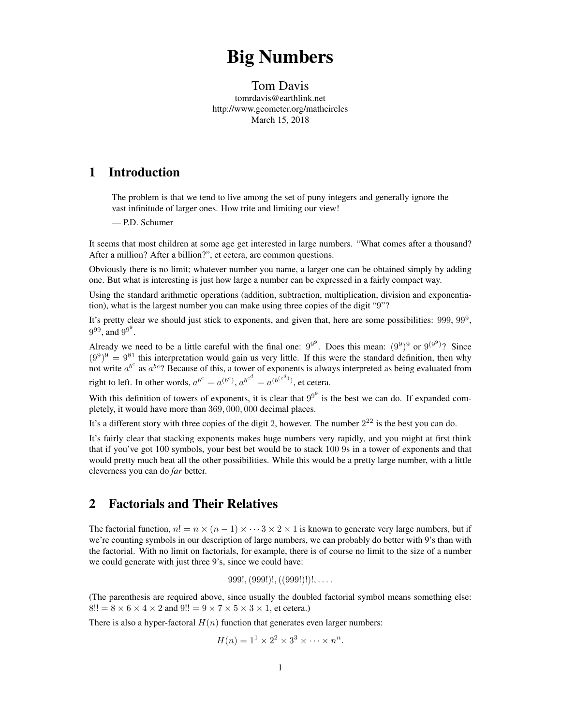# Big Numbers

### Tom Davis tomrdavis@earthlink.net http://www.geometer.org/mathcircles March 15, 2018

# 1 Introduction

The problem is that we tend to live among the set of puny integers and generally ignore the vast infinitude of larger ones. How trite and limiting our view!

— P.D. Schumer

It seems that most children at some age get interested in large numbers. "What comes after a thousand? After a million? After a billion?", et cetera, are common questions.

Obviously there is no limit; whatever number you name, a larger one can be obtained simply by adding one. But what is interesting is just how large a number can be expressed in a fairly compact way.

Using the standard arithmetic operations (addition, subtraction, multiplication, division and exponentiation), what is the largest number you can make using three copies of the digit "9"?

It's pretty clear we should just stick to exponents, and given that, here are some possibilities:  $999, 99^9$ ,  $9^{99}$ , and  $9^{9^9}$ .

Already we need to be a little careful with the final one:  $9^{9^9}$ . Does this mean:  $(9^9)^9$  or  $9^{(9^9)}$ ? Since  $(9^9)^9 = 9^{81}$  this interpretation would gain us very little. If this were the standard definition, then why not write  $a^{b^c}$  as  $a^{bc}$ ? Because of this, a tower of exponents is always interpreted as being evaluated from right to left. In other words,  $a^{b^c} = a^{(b^c)}$ ,  $a^{b^{c^d}} = a^{(b^{(c^d)})}$ , et cetera.

With this definition of towers of exponents, it is clear that  $9<sup>9</sup>$  is the best we can do. If expanded completely, it would have more than 369*,* 000*,* 000 decimal places.

It's a different story with three copies of the digit 2, however. The number  $2^{22}$  is the best you can do.

It's fairly clear that stacking exponents makes huge numbers very rapidly, and you might at first think that if you've got 100 symbols, your best bet would be to stack 100 9s in a tower of exponents and that would pretty much beat all the other possibilities. While this would be a pretty large number, with a little cleverness you can do *far* better.

# 2 Factorials and Their Relatives

The factorial function,  $n! = n \times (n-1) \times \cdots 3 \times 2 \times 1$  is known to generate very large numbers, but if we're counting symbols in our description of large numbers, we can probably do better with 9's than with the factorial. With no limit on factorials, for example, there is of course no limit to the size of a number we could generate with just three 9's, since we could have:

999!*,*(999!)!*,*((999!)!)!*, . . . .*

(The parenthesis are required above, since usually the doubled factorial symbol means something else:  $8!! = 8 \times 6 \times 4 \times 2$  and  $9!! = 9 \times 7 \times 5 \times 3 \times 1$ , et cetera.)

There is also a hyper-factoral  $H(n)$  function that generates even larger numbers:

$$
H(n) = 11 \times 22 \times 33 \times \cdots \times nn.
$$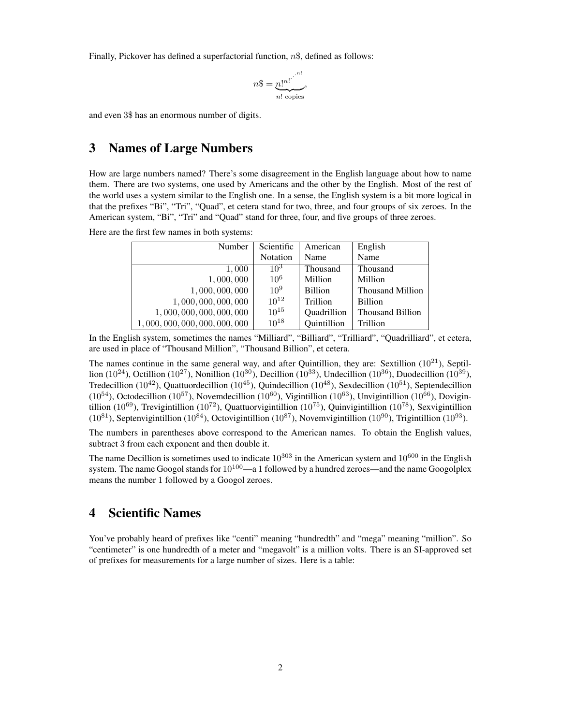Finally, Pickover has defined a superfactorial function, *n*\$, defined as follows:

$$
n\$\ = \underbrace{n!^{n!}}_{n! \text{ copies}},
$$

and even 3\$ has an enormous number of digits.

### 3 Names of Large Numbers

How are large numbers named? There's some disagreement in the English language about how to name them. There are two systems, one used by Americans and the other by the English. Most of the rest of the world uses a system similar to the English one. In a sense, the English system is a bit more logical in that the prefixes "Bi", "Tri", "Quad", et cetera stand for two, three, and four groups of six zeroes. In the American system, "Bi", "Tri" and "Quad" stand for three, four, and five groups of three zeroes.

Here are the first few names in both systems:

| Number                    | Scientific      | American       | English                 |
|---------------------------|-----------------|----------------|-------------------------|
|                           | Notation        | Name           | Name                    |
| 1,000                     | $10^{3}$        | Thousand       | Thousand                |
| 1,000,000                 | 10 <sup>6</sup> | Million        | Million                 |
| 1,000,000,000             | $10^{9}$        | <b>Billion</b> | <b>Thousand Million</b> |
| 1,000,000,000,000         | $10^{12}$       | Trillion       | <b>Billion</b>          |
| 1,000,000,000,000,000     | $10^{15}$       | Quadrillion    | <b>Thousand Billion</b> |
| 1,000,000,000,000,000,000 | $10^{18}$       | Quintillion    | Trillion                |

In the English system, sometimes the names "Milliard", "Billiard", "Trilliard", "Quadrilliard", et cetera, are used in place of "Thousand Million", "Thousand Billion", et cetera.

The names continue in the same general way, and after Quintillion, they are: Sextillion  $(10^{21})$ , Septillion (10<sup>24</sup>), Octillion (10<sup>27</sup>), Nonillion (10<sup>30</sup>), Decillion (10<sup>33</sup>), Undecillion (10<sup>36</sup>), Duodecillion (10<sup>39</sup>), Tredecillion  $(10^{42})$ , Quattuordecillion  $(10^{45})$ , Quindecillion  $(10^{48})$ , Sexdecillion  $(10^{51})$ , Septendecillion ( $10^{54}$ ), Octodecillion ( $10^{57}$ ), Novemdecillion ( $10^{60}$ ), Vigintillion ( $10^{63}$ ), Unvigintillion ( $10^{66}$ ), Dovigintillion (10<sup>69</sup>), Trevigintillion (10<sup>72</sup>), Quattuorvigintillion (10<sup>75</sup>), Quinvigintillion (10<sup>78</sup>), Sexvigintillion  $(10^{81})$ , Septenvigintillion  $(10^{84})$ , Octovigintillion  $(10^{87})$ , Novemvigintillion  $(10^{90})$ , Trigintillion  $(10^{93})$ .

The numbers in parentheses above correspond to the American names. To obtain the English values, subtract 3 from each exponent and then double it.

The name Decillion is sometimes used to indicate  $10^{303}$  in the American system and  $10^{600}$  in the English system. The name Googol stands for  $10^{100}$ —a 1 followed by a hundred zeroes—and the name Googolplex means the number 1 followed by a Googol zeroes.

# 4 Scientific Names

You've probably heard of prefixes like "centi" meaning "hundredth" and "mega" meaning "million". So "centimeter" is one hundredth of a meter and "megavolt" is a million volts. There is an SI-approved set of prefixes for measurements for a large number of sizes. Here is a table: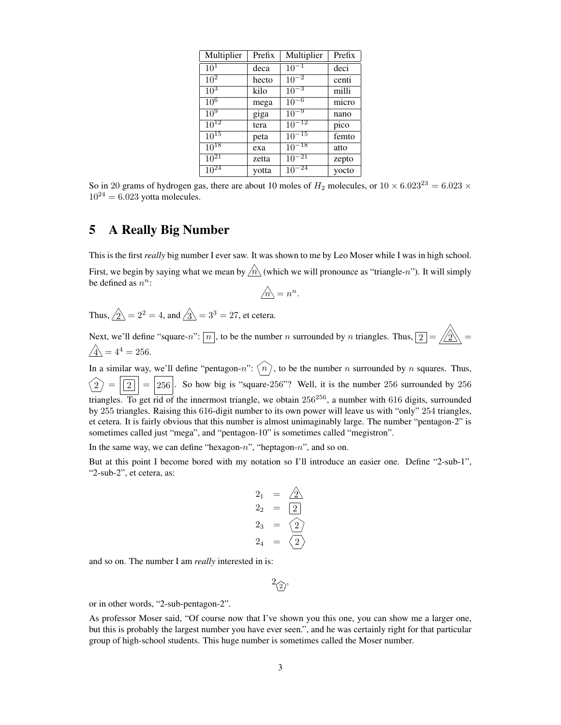| Multiplier        | Prefix | Multiplier | Prefix |
|-------------------|--------|------------|--------|
| $10^{1}$          | deca   | $10^{-1}$  | deci   |
| $\overline{10^2}$ | hecto  | $10^{-2}$  | centi  |
| $10^3$            | kilo   | $10^{-3}$  | milli  |
| $\overline{10^6}$ | mega   | $10^{-6}$  | micro  |
| 10 <sup>9</sup>   | giga   | $10^{-9}$  | nano   |
| $10^{12}$         | tera   | $10^{-12}$ | pico   |
| $10^{15}$         | peta   | $10^{-15}$ | femto  |
| $10^{18}$         | exa    | $10^{-18}$ | atto   |
| $10^{21}$         | zetta  | $10^{-21}$ | zepto  |
| $10^{24}$         | votta  | $10^{-24}$ | yocto  |

So in 20 grams of hydrogen gas, there are about 10 moles of  $H_2$  molecules, or  $10 \times 6.023^{23} = 6.023 \times$  $10^{24} = 6.023$  yotta molecules.

## 5 A Really Big Number

This is the first *really* big number I ever saw. It was shown to me by Leo Moser while I was in high school. First, we begin by saying what we mean by  $\hat{m}$  (which we will pronounce as "triangle-*n*"). It will simply be defined as  $n^n$ : ✶

$$
\bigwedge_{n=1}^{\infty} n^n.
$$

Thus,  $\hat{\angle} \hat{2} = 2^2 = 4$ , and  $\hat{\angle} \hat{3} = 3^3 = 27$ , et cetera.

Next, we'll define "square-*n*":  $\boxed{n}$ , to be the number *n* surrounded by *n* triangles. Thus,  $\boxed{2} = \boxed{\boxed{2}}$  $\hat{A} = 4^4 = 256.$ 

In a similar way, we'll define "pentagon-n":  $\langle n \rangle$ , to be the number *n* surrounded by *n* squares. Thus,  $\overline{y}$ ✮  $\overline{y}$  $\overline{a}$  $\widehat{2} = \widehat{256}$ . So how big is "square-256"? Well, it is the number 256 surrounded by 256 ✮ ✮  $^{\prime}$  $\overline{a}$ triangles. To get rid of the innermost triangle, we obtain  $256^{256}$ , a number with 616 digits, surrounded by 255 triangles. Raising this 616-digit number to its own power will leave us with "only" 254 triangles, et cetera. It is fairly obvious that this number is almost unimaginably large. The number "pentagon-2" is sometimes called just "mega", and "pentagon-10" is sometimes called "megistron".

In the same way, we can define "hexagon-*n*", "heptagon-*n*", and so on.

But at this point I become bored with my notation so I'll introduce an easier one. Define "2-sub-1", "2-sub-2", et cetera, as:

$$
2_1 = \underline{\wedge} \overline{\underline{\smash{\big)}\ 2_2} = \underline{\underline{\smash{\big)}\ 2}}\n\n2_3 = \underline{\smash{\big\langle 2 \big\rangle}}\n\n2_4 = \underline{\smash{\big\langle 2 \big\rangle}}
$$

and so on. The number I am *really* interested in is:

$$
^2\!\mathbin{\widehat{2}}\!\mathbin{,}
$$

or in other words, "2-sub-pentagon-2".

As professor Moser said, "Of course now that I've shown you this one, you can show me a larger one, but this is probably the largest number you have ever seen.", and he was certainly right for that particular group of high-school students. This huge number is sometimes called the Moser number.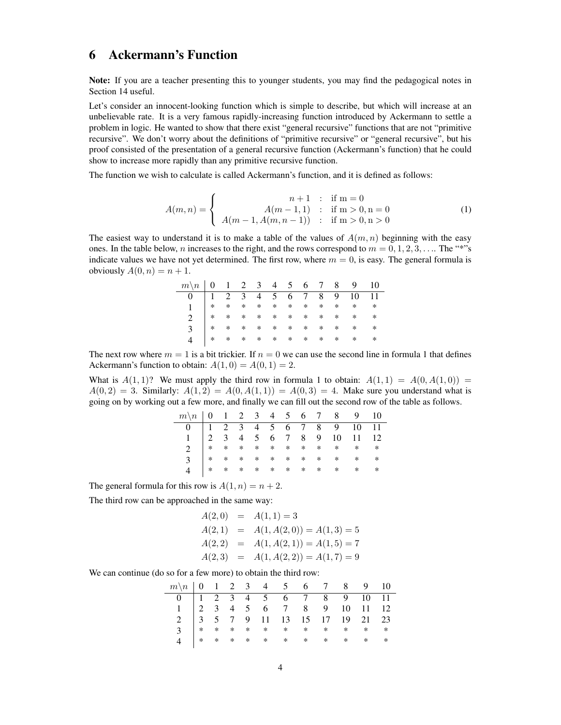# 6 Ackermann's Function

Note: If you are a teacher presenting this to younger students, you may find the pedagogical notes in Section 14 useful.

Let's consider an innocent-looking function which is simple to describe, but which will increase at an unbelievable rate. It is a very famous rapidly-increasing function introduced by Ackermann to settle a problem in logic. He wanted to show that there exist "general recursive" functions that are not "primitive recursive". We don't worry about the definitions of "primitive recursive" or "general recursive", but his proof consisted of the presentation of a general recursive function (Ackermann's function) that he could show to increase more rapidly than any primitive recursive function.

The function we wish to calculate is called Ackermann's function, and it is defined as follows:

$$
A(m,n) = \begin{cases} n+1 & \text{if } m=0\\ A(m-1,1) & \text{if } m>0, n=0\\ A(m-1, A(m,n-1)) & \text{if } m>0, n>0 \end{cases}
$$
 (1)

The easiest way to understand it is to make a table of the values of  $A(m, n)$  beginning with the easy ones. In the table below, *n* increases to the right, and the rows correspond to  $m = 0, 1, 2, 3, \ldots$ . The "\*"s" indicate values we have not yet determined. The first row, where  $m = 0$ , is easy. The general formula is obviously  $A(0, n) = n + 1$ .

| $m \backslash n$   0   1   2   3   4   5   5   6   7   8   8   9   10 |     |  |  |  |                 |                                               |        |
|-----------------------------------------------------------------------|-----|--|--|--|-----------------|-----------------------------------------------|--------|
|                                                                       |     |  |  |  |                 | $1 \t2 \t3 \t4 \t5 \t6 \t7 \t8 \t9 \t10 \t11$ |        |
|                                                                       |     |  |  |  |                 |                                               |        |
|                                                                       |     |  |  |  |                 |                                               |        |
|                                                                       |     |  |  |  |                 |                                               |        |
|                                                                       | $*$ |  |  |  | * * * * * * * * | $\ast$                                        | $\ast$ |

The next row where  $m = 1$  is a bit trickier. If  $n = 0$  we can use the second line in formula 1 that defines Ackermann's function to obtain:  $A(1, 0) = A(0, 1) = 2$ .

What is  $A(1,1)$ ? We must apply the third row in formula 1 to obtain:  $A(1,1) = A(0, A(1,0)) = A(0,0)$  $A(0,2) = 3$ . Similarly:  $A(1,2) = A(0, A(1,1)) = A(0,3) = 4$ . Make sure you understand what is going on by working out a few more, and finally we can fill out the second row of the table as follows.

| $m\backslash n$   0 $\,$ 1 $\,$ 2 $\,$ 3 $\,$ 4 $\,$ 5 $\,$ 6 $\,$ 7 $\,$ 8 $\,$ 9 $\,$ 10 $\,$ |  |  |  |  |  |  |
|-------------------------------------------------------------------------------------------------|--|--|--|--|--|--|
|                                                                                                 |  |  |  |  |  |  |
|                                                                                                 |  |  |  |  |  |  |
|                                                                                                 |  |  |  |  |  |  |
|                                                                                                 |  |  |  |  |  |  |
|                                                                                                 |  |  |  |  |  |  |
|                                                                                                 |  |  |  |  |  |  |

The general formula for this row is  $A(1, n) = n + 2$ .

The third row can be approached in the same way:

$$
A(2,0) = A(1,1) = 3
$$
  
\n
$$
A(2,1) = A(1, A(2,0)) = A(1,3) = 5
$$
  
\n
$$
A(2,2) = A(1, A(2,1)) = A(1,5) = 7
$$
  
\n
$$
A(2,3) = A(1, A(2,2)) = A(1,7) = 9
$$

We can continue (do so for a few more) to obtain the third row:

| $m\backslash n$   0   1   2   3   4   5   5   6   7   8   8   9   10                                                                                                                                                                                                                       |  |  |  |  |  |  |
|--------------------------------------------------------------------------------------------------------------------------------------------------------------------------------------------------------------------------------------------------------------------------------------------|--|--|--|--|--|--|
|                                                                                                                                                                                                                                                                                            |  |  |  |  |  |  |
|                                                                                                                                                                                                                                                                                            |  |  |  |  |  |  |
|                                                                                                                                                                                                                                                                                            |  |  |  |  |  |  |
|                                                                                                                                                                                                                                                                                            |  |  |  |  |  |  |
| $\begin{array}{cccccccccccc} 0 & 1 & 2 & 3 & 4 & 5 & 6 & 7 & 8 & 9 & 10 & 11 \\ 1 & 2 & 3 & 4 & 5 & 6 & 7 & 8 & 9 & 10 & 11 & 12 \\ 2 & 3 & 5 & 7 & 9 & 11 & 13 & 15 & 17 & 19 & 21 & 23 \\ 3 & * & * & * & * & * & * & * & * & * \\ 4 & * & * & * & * & * & * & * & * & * \\ \end{array}$ |  |  |  |  |  |  |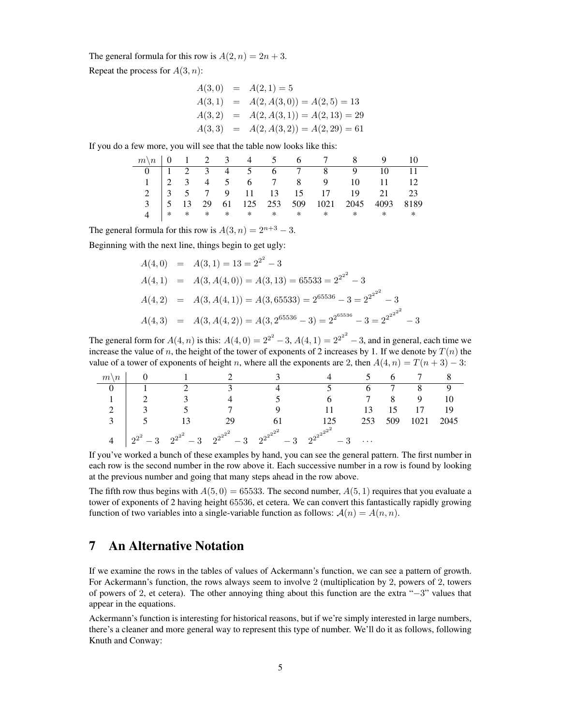The general formula for this row is  $A(2, n) = 2n + 3$ .

Repeat the process for *A*(3*, n*):

$$
A(3,0) = A(2,1) = 5
$$
  
\n
$$
A(3,1) = A(2, A(3,0)) = A(2,5) = 13
$$
  
\n
$$
A(3,2) = A(2, A(3,1)) = A(2,13) = 29
$$
  
\n
$$
A(3,3) = A(2, A(3,2)) = A(2,29) = 61
$$

If you do a few more, you will see that the table now looks like this:

|  |  |  |  | $m\backslash n$   0   1   2   3   4   5   5   6   7   7   8   8   9   10       |  |
|--|--|--|--|--------------------------------------------------------------------------------|--|
|  |  |  |  | 0   1 2 3 4 5 6 7 8 9 10 11                                                    |  |
|  |  |  |  | $1 \begin{pmatrix} 2 & 3 & 4 & 5 & 6 & 7 & 8 & 9 & 10 & 11 & 12 \end{pmatrix}$ |  |
|  |  |  |  | 2 3 5 7 9 11 13 15 17 19 21 23                                                 |  |
|  |  |  |  | 3   5 13 29 61 125 253 509 1021 2045 4093 8189                                 |  |
|  |  |  |  | 4 * * * * * * * * * * *                                                        |  |

The general formula for this row is  $A(3, n) = 2^{n+3} - 3$ .

Beginning with the next line, things begin to get ugly:

$$
A(4,0) = A(3,1) = 13 = 2^{2^2} - 3
$$
  
\n
$$
A(4,1) = A(3, A(4,0)) = A(3,13) = 65533 = 2^{2^{2^2}} - 3
$$
  
\n
$$
A(4,2) = A(3, A(4,1)) = A(3,65533) = 2^{65536} - 3 = 2^{2^{2^{2^2}}} - 3
$$
  
\n
$$
A(4,3) = A(3, A(4,2)) = A(3, 2^{65536} - 3) = 2^{2^{65536}} - 3 = 2^{2^{2^{2^{2^2}}}} - 3
$$

The general form for  $A(4, n)$  is this:  $A(4, 0) = 2^{2^2} - 3$ ,  $A(4, 1) = 2^{2^{2^2}} - 3$ , and in general, each time we increase the value of *n*, the height of the tower of exponents of 2 increases by 1. If we denote by  $T(n)$  the value of a tower of exponents of height *n*, where all the exponents are 2, then  $A(4, n) = T(n + 3) - 3$ :

| $m \backslash n$ |           |               |                                                                 |                             |        |     |      |      |
|------------------|-----------|---------------|-----------------------------------------------------------------|-----------------------------|--------|-----|------|------|
|                  |           |               |                                                                 |                             |        |     | 8    |      |
|                  |           | $\mathcal{R}$ |                                                                 |                             |        |     | 9    |      |
| ◠                |           |               |                                                                 |                             | 13     | 15  | 17   | 19   |
| 3                |           |               | 29                                                              | 125                         | 253    | 509 | 1021 | 2045 |
|                  | $2^{2^2}$ |               | $2^{2^2}-3$ $2^{2^{2^2}}-3$ $2^{2^{2^2}}-3$ $2^{2^{2^{2^2}}-1}$ | $2^{2^{2^{2^{2}}}}$<br>$-3$ | $\sim$ |     |      |      |

If you've worked a bunch of these examples by hand, you can see the general pattern. The first number in each row is the second number in the row above it. Each successive number in a row is found by looking at the previous number and going that many steps ahead in the row above.

The fifth row thus begins with  $A(5,0) = 65533$ . The second number,  $A(5,1)$  requires that you evaluate a tower of exponents of 2 having height 65536, et cetera. We can convert this fantastically rapidly growing function of two variables into a single-variable function as follows:  $\mathcal{A}(n) = A(n, n)$ .

# 7 An Alternative Notation

If we examine the rows in the tables of values of Ackermann's function, we can see a pattern of growth. For Ackermann's function, the rows always seem to involve 2 (multiplication by 2, powers of 2, towers of powers of 2, et cetera). The other annoying thing about this function are the extra "*−*3" values that appear in the equations.

Ackermann's function is interesting for historical reasons, but if we're simply interested in large numbers, there's a cleaner and more general way to represent this type of number. We'll do it as follows, following Knuth and Conway: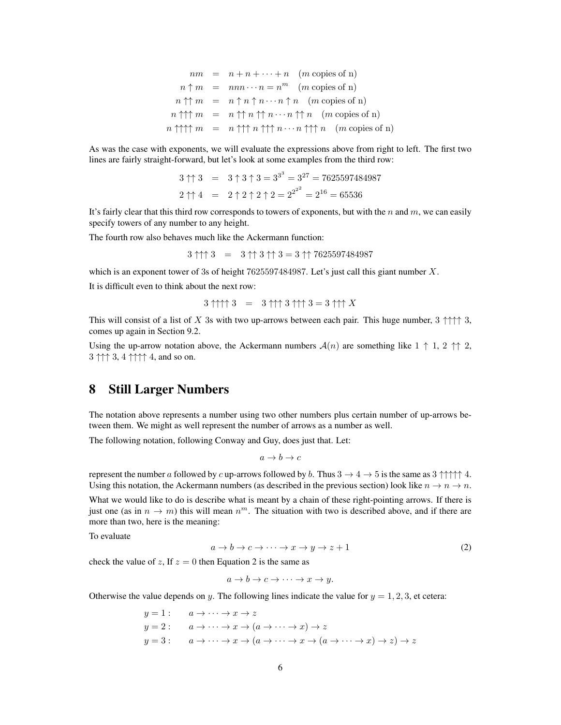$$
nm = n + n + \dots + n \quad (m \text{ copies of n})
$$
\n
$$
n \uparrow m = n n n \cdots n = n^m \quad (m \text{ copies of n})
$$
\n
$$
n \uparrow \uparrow m = n \uparrow n \uparrow n \cdots n \uparrow n \quad (m \text{ copies of n})
$$
\n
$$
n \uparrow \uparrow \uparrow m = n \uparrow \uparrow n \uparrow n \cdots n \uparrow \uparrow n \quad (m \text{ copies of n})
$$
\n
$$
n \uparrow \uparrow \uparrow \uparrow m = n \uparrow \uparrow \uparrow n \uparrow \uparrow \uparrow n \cdots n \uparrow \uparrow \uparrow n \quad (m \text{ copies of n})
$$

As was the case with exponents, we will evaluate the expressions above from right to left. The first two lines are fairly straight-forward, but let's look at some examples from the third row:

$$
3 \uparrow \uparrow 3 = 3 \uparrow 3 \uparrow 3 = 3^{3^3} = 3^{27} = 7625597484987
$$
  

$$
2 \uparrow \uparrow 4 = 2 \uparrow 2 \uparrow 2 \uparrow 2 = 2^{2^{2^2}} = 2^{16} = 65536
$$

It's fairly clear that this third row corresponds to towers of exponents, but with the *n* and *m*, we can easily specify towers of any number to any height.

The fourth row also behaves much like the Ackermann function:

$$
3 \uparrow \uparrow \uparrow 3 = 3 \uparrow \uparrow 3 \uparrow \uparrow 3 = 3 \uparrow \uparrow 7625597484987
$$

which is an exponent tower of 3s of height 7625597484987. Let's just call this giant number *X*.

It is difficult even to think about the next row:

$$
3\uparrow\uparrow\uparrow\uparrow 3 = 3\uparrow\uparrow\uparrow 3 \uparrow\uparrow\uparrow 3 = 3\uparrow\uparrow\uparrow X
$$

This will consist of a list of *X* 3s with two up-arrows between each pair. This huge number, 3 *↑↑↑↑* 3, comes up again in Section 9.2.

Using the up-arrow notation above, the Ackermann numbers  $\mathcal{A}(n)$  are something like  $1 \uparrow 1$ ,  $2 \uparrow \uparrow 2$ , 3 *↑↑↑* 3, 4 *↑↑↑↑* 4, and so on.

### 8 Still Larger Numbers

The notation above represents a number using two other numbers plus certain number of up-arrows between them. We might as well represent the number of arrows as a number as well.

The following notation, following Conway and Guy, does just that. Let:

$$
a \to b \to c
$$

represent the number *a* followed by *c* up-arrows followed by *b*. Thus  $3 \rightarrow 4 \rightarrow 5$  is the same as  $3 \uparrow \uparrow \uparrow \uparrow 4$ . Using this notation, the Ackermann numbers (as described in the previous section) look like  $n \to n \to n$ .

What we would like to do is describe what is meant by a chain of these right-pointing arrows. If there is just one (as in  $n \to m$ ) this will mean  $n^m$ . The situation with two is described above, and if there are more than two, here is the meaning:

To evaluate

$$
a \to b \to c \to \cdots \to x \to y \to z + 1 \tag{2}
$$

check the value of *z*, If  $z = 0$  then Equation 2 is the same as

 $a \rightarrow b \rightarrow c \rightarrow \cdots \rightarrow x \rightarrow y.$ 

Otherwise the value depends on *y*. The following lines indicate the value for  $y = 1, 2, 3$ , et cetera:

$$
y = 1: \quad a \to \cdots \to x \to z
$$
  
\n
$$
y = 2: \quad a \to \cdots \to x \to (a \to \cdots \to x) \to z
$$
  
\n
$$
y = 3: \quad a \to \cdots \to x \to (a \to \cdots \to x \to (a \to \cdots \to x) \to z) \to z
$$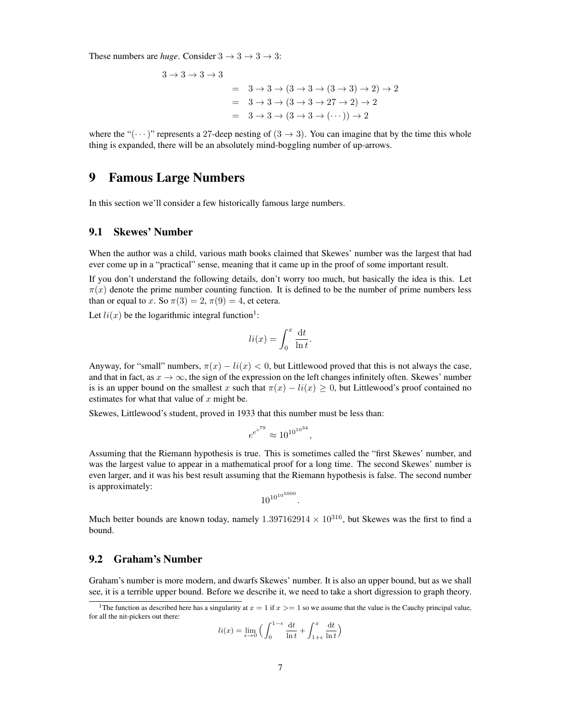These numbers are *huge*. Consider  $3 \rightarrow 3 \rightarrow 3$ :

$$
3 \rightarrow 3 \rightarrow 3 \rightarrow 3
$$
  
= 
$$
3 \rightarrow 3 \rightarrow (3 \rightarrow 3 \rightarrow (3 \rightarrow 3) \rightarrow 2) \rightarrow 2
$$
  
= 
$$
3 \rightarrow 3 \rightarrow (3 \rightarrow 3 \rightarrow 27 \rightarrow 2) \rightarrow 2
$$
  
= 
$$
3 \rightarrow 3 \rightarrow (3 \rightarrow 3 \rightarrow (\cdots)) \rightarrow 2
$$

where the " $(\cdots)$ " represents a 27-deep nesting of  $(3 \rightarrow 3)$ . You can imagine that by the time this whole thing is expanded, there will be an absolutely mind-boggling number of up-arrows.

### 9 Famous Large Numbers

In this section we'll consider a few historically famous large numbers.

### 9.1 Skewes' Number

When the author was a child, various math books claimed that Skewes' number was the largest that had ever come up in a "practical" sense, meaning that it came up in the proof of some important result.

If you don't understand the following details, don't worry too much, but basically the idea is this. Let  $\pi(x)$  denote the prime number counting function. It is defined to be the number of prime numbers less than or equal to *x*. So  $\pi(3) = 2, \pi(9) = 4$ , et cetera.

Let  $li(x)$  be the logarithmic integral function<sup>1</sup>:

$$
li(x) = \int_0^x \frac{\mathrm{d}t}{\ln t}.
$$

Anyway, for "small" numbers,  $\pi(x) - li(x) < 0$ , but Littlewood proved that this is not always the case, and that in fact, as  $x \to \infty$ , the sign of the expression on the left changes infinitely often. Skewes' number is is an upper bound on the smallest *x* such that  $\pi(x) - li(x) \ge 0$ , but Littlewood's proof contained no estimates for what that value of *x* might be.

Skewes, Littlewood's student, proved in 1933 that this number must be less than:

$$
e^{e^{e^{79}}} \approx 10^{10^{10^{34}}},
$$

Assuming that the Riemann hypothesis is true. This is sometimes called the "first Skewes' number, and was the largest value to appear in a mathematical proof for a long time. The second Skewes' number is even larger, and it was his best result assuming that the Riemann hypothesis is false. The second number is approximately:

$$
{10^{10}}^{\tiny 10^{1000}}
$$

*.*

Much better bounds are known today, namely  $1.397162914 \times 10^{316}$ , but Skewes was the first to find a bound.

### 9.2 Graham's Number

Graham's number is more modern, and dwarfs Skewes' number. It is also an upper bound, but as we shall see, it is a terrible upper bound. Before we describe it, we need to take a short digression to graph theory.

$$
li(x) = \lim_{\epsilon \to 0} \Big( \int_0^{1-\epsilon} \frac{\mathrm{d}t}{\ln t} + \int_{1+\epsilon}^x \frac{\mathrm{d}t}{\ln t} \Big)
$$

<sup>&</sup>lt;sup>1</sup>The function as described here has a singularity at  $x = 1$  if  $x \ge -1$  so we assume that the value is the Cauchy principal value, for all the nit-pickers out there: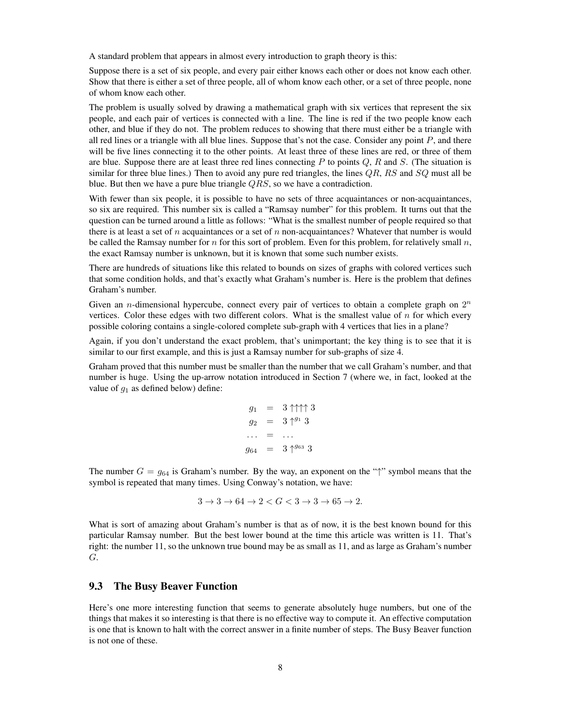A standard problem that appears in almost every introduction to graph theory is this:

Suppose there is a set of six people, and every pair either knows each other or does not know each other. Show that there is either a set of three people, all of whom know each other, or a set of three people, none of whom know each other.

The problem is usually solved by drawing a mathematical graph with six vertices that represent the six people, and each pair of vertices is connected with a line. The line is red if the two people know each other, and blue if they do not. The problem reduces to showing that there must either be a triangle with all red lines or a triangle with all blue lines. Suppose that's not the case. Consider any point *P*, and there will be five lines connecting it to the other points. At least three of these lines are red, or three of them are blue. Suppose there are at least three red lines connecting *P* to points *Q*, *R* and *S*. (The situation is similar for three blue lines.) Then to avoid any pure red triangles, the lines *QR*, *RS* and *SQ* must all be blue. But then we have a pure blue triangle *QRS*, so we have a contradiction.

With fewer than six people, it is possible to have no sets of three acquaintances or non-acquaintances, so six are required. This number six is called a "Ramsay number" for this problem. It turns out that the question can be turned around a little as follows: "What is the smallest number of people required so that there is at least a set of *n* acquaintances or a set of *n* non-acquaintances? Whatever that number is would be called the Ramsay number for *n* for this sort of problem. Even for this problem, for relatively small *n*, the exact Ramsay number is unknown, but it is known that some such number exists.

There are hundreds of situations like this related to bounds on sizes of graphs with colored vertices such that some condition holds, and that's exactly what Graham's number is. Here is the problem that defines Graham's number.

Given an *n*-dimensional hypercube, connect every pair of vertices to obtain a complete graph on  $2^n$ vertices. Color these edges with two different colors. What is the smallest value of *n* for which every possible coloring contains a single-colored complete sub-graph with 4 vertices that lies in a plane?

Again, if you don't understand the exact problem, that's unimportant; the key thing is to see that it is similar to our first example, and this is just a Ramsay number for sub-graphs of size 4.

Graham proved that this number must be smaller than the number that we call Graham's number, and that number is huge. Using the up-arrow notation introduced in Section 7 (where we, in fact, looked at the value of  $g_1$  as defined below) define:

$$
g_1 = 3 \uparrow \uparrow \uparrow 3
$$
  
\n
$$
g_2 = 3 \uparrow^{g_1} 3
$$
  
\n... = ...  
\n
$$
g_{64} = 3 \uparrow^{g_{63}} 3
$$

The number  $G = g_{64}$  is Graham's number. By the way, an exponent on the " $\uparrow$ " symbol means that the symbol is repeated that many times. Using Conway's notation, we have:

$$
3 \to 3 \to 64 \to 2 < G < 3 \to 3 \to 65 \to 2.
$$

What is sort of amazing about Graham's number is that as of now, it is the best known bound for this particular Ramsay number. But the best lower bound at the time this article was written is 11. That's right: the number 11, so the unknown true bound may be as small as 11, and as large as Graham's number *G*.

#### 9.3 The Busy Beaver Function

Here's one more interesting function that seems to generate absolutely huge numbers, but one of the things that makes it so interesting is that there is no effective way to compute it. An effective computation is one that is known to halt with the correct answer in a finite number of steps. The Busy Beaver function is not one of these.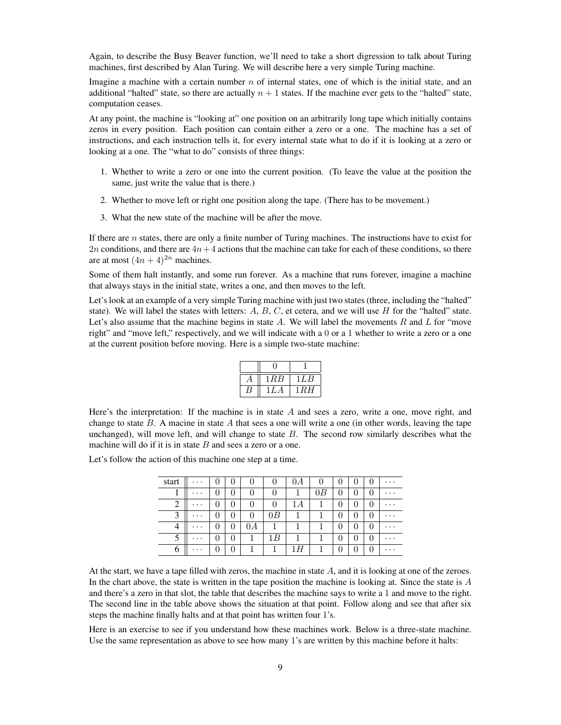Again, to describe the Busy Beaver function, we'll need to take a short digression to talk about Turing machines, first described by Alan Turing. We will describe here a very simple Turing machine.

Imagine a machine with a certain number *n* of internal states, one of which is the initial state, and an additional "halted" state, so there are actually  $n + 1$  states. If the machine ever gets to the "halted" state, computation ceases.

At any point, the machine is "looking at" one position on an arbitrarily long tape which initially contains zeros in every position. Each position can contain either a zero or a one. The machine has a set of instructions, and each instruction tells it, for every internal state what to do if it is looking at a zero or looking at a one. The "what to do" consists of three things:

- 1. Whether to write a zero or one into the current position. (To leave the value at the position the same, just write the value that is there.)
- 2. Whether to move left or right one position along the tape. (There has to be movement.)
- 3. What the new state of the machine will be after the move.

If there are *n* states, there are only a finite number of Turing machines. The instructions have to exist for 2*n* conditions, and there are  $4n+4$  actions that the machine can take for each of these conditions, so there are at most  $(4n + 4)^{2n}$  machines.

Some of them halt instantly, and some run forever. As a machine that runs forever, imagine a machine that always stays in the initial state, writes a one, and then moves to the left.

Let's look at an example of a very simple Turing machine with just two states (three, including the "halted" state). We will label the states with letters:  $A, B, C$ , et cetera, and we will use  $H$  for the "halted" state. Let's also assume that the machine begins in state *A*. We will label the movements *R* and *L* for "move right" and "move left," respectively, and we will indicate with a 0 or a 1 whether to write a zero or a one at the current position before moving. Here is a simple two-state machine:

| 1RB | LLB   |
|-----|-------|
| \LA | 1 R H |

Here's the interpretation: If the machine is in state *A* and sees a zero, write a one, move right, and change to state *B*. A macine in state *A* that sees a one will write a one (in other words, leaving the tape unchanged), will move left, and will change to state *B*. The second row similarly describes what the machine will do if it is in state *B* and sees a zero or a one.

Let's follow the action of this machine one step at a time.

| start | .        | U        | U        | U        |    | 0A | U  | U |          |                  | $\cdots$ |
|-------|----------|----------|----------|----------|----|----|----|---|----------|------------------|----------|
|       | .        | U        | $\theta$ | 0        |    | 1  | 0B | U |          |                  | .        |
| 2     | .        | U        | 0        | $\theta$ |    | 1Α |    | 0 |          |                  | .        |
| 3     | .        | O        | 0        | $\theta$ | 0B | 1  |    | 0 | $\cup$   |                  | .        |
| 4     | $\cdots$ | O        | $\theta$ | 0A       |    |    |    | 0 | $\cup$   |                  | .        |
|       | .        | $\theta$ | $\theta$ |          | 1В |    |    | 0 |          |                  | .        |
| 6     | $\cdots$ | 0        | 0        |          |    | Н  |    | 0 | $\theta$ | $\left( \right)$ | $\cdots$ |

At the start, we have a tape filled with zeros, the machine in state *A*, and it is looking at one of the zeroes. In the chart above, the state is written in the tape position the machine is looking at. Since the state is *A* and there's a zero in that slot, the table that describes the machine says to write a 1 and move to the right. The second line in the table above shows the situation at that point. Follow along and see that after six steps the machine finally halts and at that point has written four 1's.

Here is an exercise to see if you understand how these machines work. Below is a three-state machine. Use the same representation as above to see how many 1's are written by this machine before it halts: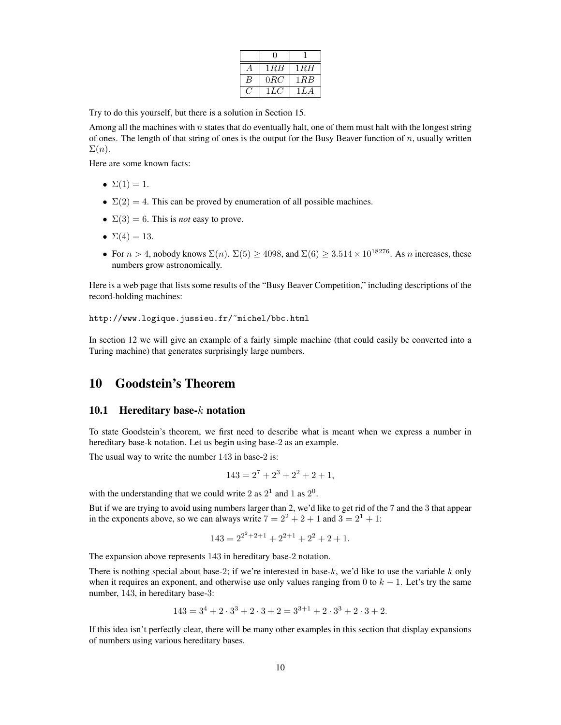| 1 R B | 1RH   |
|-------|-------|
| 0RC   | 1 R B |
| 1LC   | 1 L A |

Try to do this yourself, but there is a solution in Section 15.

Among all the machines with *n* states that do eventually halt, one of them must halt with the longest string of ones. The length of that string of ones is the output for the Busy Beaver function of *n*, usually written  $\Sigma(n)$ .

Here are some known facts:

- $\Sigma(1) = 1$ .
- $\Sigma(2) = 4$ . This can be proved by enumeration of all possible machines.
- $\Sigma(3) = 6$ . This is *not* easy to prove.
- $\Sigma(4) = 13$ .
- For  $n > 4$ , nobody knows  $\Sigma(n)$ .  $\Sigma(5) \ge 4098$ , and  $\Sigma(6) \ge 3.514 \times 10^{18276}$ . As *n* increases, these numbers grow astronomically.

Here is a web page that lists some results of the "Busy Beaver Competition," including descriptions of the record-holding machines:

http://www.logique.jussieu.fr/~michel/bbc.html

In section 12 we will give an example of a fairly simple machine (that could easily be converted into a Turing machine) that generates surprisingly large numbers.

# 10 Goodstein's Theorem

#### 10.1 Hereditary base-*k* notation

To state Goodstein's theorem, we first need to describe what is meant when we express a number in hereditary base-k notation. Let us begin using base-2 as an example.

The usual way to write the number 143 in base-2 is:

$$
143 = 2^7 + 2^3 + 2^2 + 2 + 1,
$$

with the understanding that we could write 2 as  $2^1$  and 1 as  $2^0$ .

But if we are trying to avoid using numbers larger than 2, we'd like to get rid of the 7 and the 3 that appear in the exponents above, so we can always write  $7 = 2^2 + 2 + 1$  and  $3 = 2^1 + 1$ :

$$
143 = 2^{2^2 + 2 + 1} + 2^{2+1} + 2^2 + 2 + 1.
$$

The expansion above represents 143 in hereditary base-2 notation.

There is nothing special about base-2; if we're interested in base-*k*, we'd like to use the variable *k* only when it requires an exponent, and otherwise use only values ranging from 0 to *k −* 1. Let's try the same number, 143, in hereditary base-3:

$$
143 = 3^4 + 2 \cdot 3^3 + 2 \cdot 3 + 2 = 3^{3+1} + 2 \cdot 3^3 + 2 \cdot 3 + 2.
$$

If this idea isn't perfectly clear, there will be many other examples in this section that display expansions of numbers using various hereditary bases.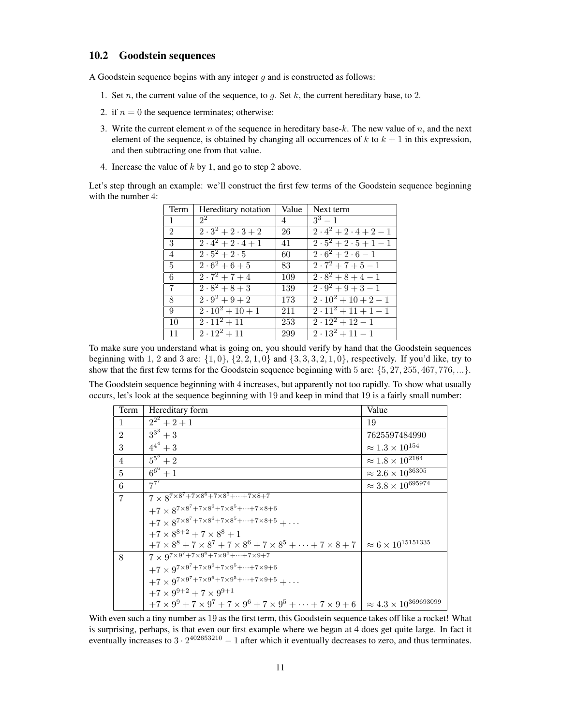#### 10.2 Goodstein sequences

A Goodstein sequence begins with any integer *g* and is constructed as follows:

- 1. Set *n*, the current value of the sequence, to *g*. Set *k*, the current hereditary base, to 2.
- 2. if  $n = 0$  the sequence terminates; otherwise:
- 3. Write the current element *n* of the sequence in hereditary base-*k*. The new value of *n*, and the next element of the sequence, is obtained by changing all occurrences of  $k$  to  $k + 1$  in this expression, and then subtracting one from that value.
- 4. Increase the value of *k* by 1, and go to step 2 above.

Let's step through an example: we'll construct the first few terms of the Goodstein sequence beginning with the number 4:

| Term           | Hereditary notation                         | Value | Next term                                                 |
|----------------|---------------------------------------------|-------|-----------------------------------------------------------|
| $\mathbf{1}$   | $2^2$                                       | 4     | $3^3 - 1$                                                 |
| $\mathfrak{D}$ | $\overline{2\cdot 3^2+2\cdot 3+2}$          | 26    | $\overline{2\cdot 4^2 + 2\cdot 4} + 2 - 1$                |
| 3              | $\frac{1}{2 \cdot 4^2 + 2 \cdot 4 + 1}$     | 41    | $\frac{2 \cdot 5^2 + 2 \cdot 5 + 1 - 1}{2}$               |
| $\overline{4}$ | $\sqrt{2\cdot 5^2 + 2\cdot 5}$              | 60    | $\frac{1}{2 \cdot 6^2 + 2 \cdot 6 - 1}$                   |
| $\overline{5}$ | $\frac{2 \cdot 6^2 + 6 + 5}{2 \cdot 6 + 5}$ | 83    | $\frac{1}{2 \cdot 7^2 + 7 + 5 - 1}$                       |
| 6              | $2 \cdot 7^2 + 7 + 4$                       | 109   | $\frac{2 \cdot 8^2 + 8 + 4 - 1}{2 \cdot 8^2 + 8 + 4 - 1}$ |
| 7              | $\frac{2 \cdot 8^2 + 8 + 3}{2 \cdot 8 + 3}$ | 139   | $\overline{2\cdot 9^2 + 9 + 3} - 1$                       |
| 8              | $\sqrt{2 \cdot 9^2 + 9 + 2}$                | 173   | $\frac{2 \cdot 10^2 + 10 + 2 - 1}{2}$                     |
| 9              | $2 \cdot 10^2 + 10 + 1$                     | 211   | $\overline{2\cdot 11^2 + 11 + 1} - 1$                     |
| 10             | $\sqrt{2\cdot 11^2 + 11}$                   | 253   | $\frac{2 \cdot 12^2 + 12 - 1}{2}$                         |
| 11             | $\sqrt{2\cdot 12^2 + 11}$                   | 299   | $\frac{2 \cdot 13^2 + 11 - 1}{2}$                         |

To make sure you understand what is going on, you should verify by hand that the Goodstein sequences beginning with 1, 2 and 3 are:  $\{1, 0\}$ ,  $\{2, 2, 1, 0\}$  and  $\{3, 3, 3, 2, 1, 0\}$ , respectively. If you'd like, try to show that the first few terms for the Goodstein sequence beginning with 5 are: *{*5*,* 27*,* 255*,* 467*,* 776*, ...}*.

The Goodstein sequence beginning with 4 increases, but apparently not too rapidly. To show what usually occurs, let's look at the sequence beginning with 19 and keep in mind that 19 is a fairly small number:

| Term           | Hereditary form                                                                             | Value                                               |
|----------------|---------------------------------------------------------------------------------------------|-----------------------------------------------------|
| $\mathbf{1}$   | $2^{2^2}+2+1$                                                                               | 19                                                  |
| $\overline{2}$ | $3^{3^3}+3$                                                                                 | 7625597484990                                       |
| 3              | $\frac{4^{4}}{4^{4}+3}$                                                                     | $\approx 1.3 \times 10^{154}$                       |
| $\overline{4}$ | $\overline{5^5}+2$                                                                          | $\approx 1.8 \times 10^{218\overline 4}$            |
| $\overline{5}$ | $6^{6^6}+1$                                                                                 | $\approx 2.6 \times 10^{36\overline 30\overline 5}$ |
| 6              | $7^{7}$                                                                                     | $\approx 3.8 \times 10^{695974}$                    |
| $\overline{7}$ | $7 \times 8^{7 \times 8^7 + 7 \times 8^6 + 7 \times 8^5 + \dots + 7 \times 8 + 7}$          |                                                     |
|                | $+7\times8^{7\times8^7+7\times8^6+7\times8^5+\cdots+7\times8+6}$                            |                                                     |
|                | $+7 \times 8^{7 \times 8^7 + 7 \times 8^6 + 7 \times 8^5 + \dots + 7 \times 8 + 5} + \dots$ |                                                     |
|                | $+7 \times 8^{8+2} + 7 \times 8^8 + 1$                                                      |                                                     |
|                | $+7 \times 8^8 + 7 \times 8^7 + 7 \times 8^6 + 7 \times 8^5 + \cdots + 7 \times 8 + 7$      | $\approx 6 \times 10^{15151335}$                    |
| 8              | $7 \times 9^{7 \times 9^{7} + 7 \times 9^{6} + 7 \times 9^{5} + \cdots + 7 \times 9 + 7}$   |                                                     |
|                | $+7 \times 9^{7 \times 9^7 + 7 \times 9^6 + 7 \times 9^5 + \dots + 7 \times 9 + 6}$         |                                                     |
|                | $+7 \times 9^{7 \times 9^7 + 7 \times 9^6 + 7 \times 9^5 + \dots + 7 \times 9 + 5} + \dots$ |                                                     |
|                | $+7 \times 9^{9+2} + 7 \times 9^{9+1}$                                                      |                                                     |
|                | $+7 \times 9^9 + 7 \times 9^7 + 7 \times 9^6 + 7 \times 9^5 + \cdots + 7 \times 9 + 6$      | $\approx 4.3 \times 10^{369693099}$                 |

With even such a tiny number as 19 as the first term, this Goodstein sequence takes off like a rocket! What is surprising, perhaps, is that even our first example where we began at 4 does get quite large. In fact it eventually increases to  $3 \cdot 2^{402653210} - 1$  after which it eventually decreases to zero, and thus terminates.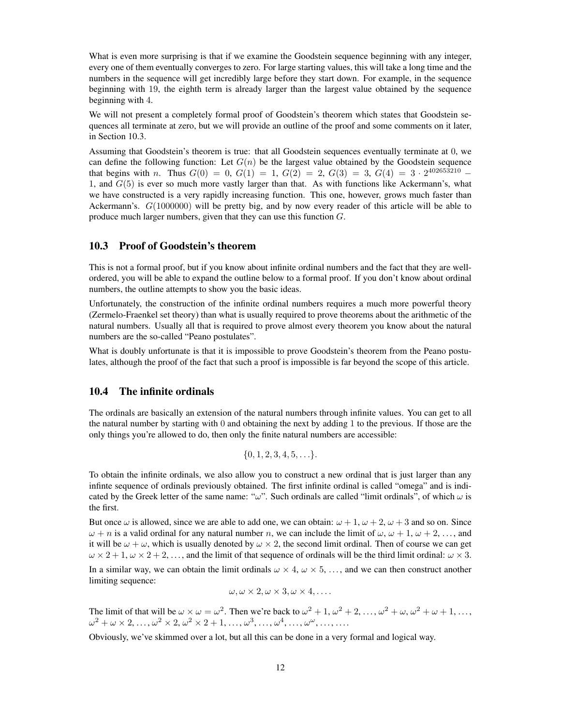What is even more surprising is that if we examine the Goodstein sequence beginning with any integer, every one of them eventually converges to zero. For large starting values, this will take a long time and the numbers in the sequence will get incredibly large before they start down. For example, in the sequence beginning with 19, the eighth term is already larger than the largest value obtained by the sequence beginning with 4.

We will not present a completely formal proof of Goodstein's theorem which states that Goodstein sequences all terminate at zero, but we will provide an outline of the proof and some comments on it later, in Section 10.3.

Assuming that Goodstein's theorem is true: that all Goodstein sequences eventually terminate at 0, we can define the following function: Let  $G(n)$  be the largest value obtained by the Goodstein sequence that begins with *n*. Thus  $G(0) = 0$ ,  $G(1) = 1$ ,  $G(2) = 2$ ,  $G(3) = 3$ ,  $G(4) = 3 \cdot 2^{402653210}$ 1, and  $G(5)$  is ever so much more vastly larger than that. As with functions like Ackermann's, what we have constructed is a very rapidly increasing function. This one, however, grows much faster than Ackermann's. *G*(1000000) will be pretty big, and by now every reader of this article will be able to produce much larger numbers, given that they can use this function *G*.

#### 10.3 Proof of Goodstein's theorem

This is not a formal proof, but if you know about infinite ordinal numbers and the fact that they are wellordered, you will be able to expand the outline below to a formal proof. If you don't know about ordinal numbers, the outline attempts to show you the basic ideas.

Unfortunately, the construction of the infinite ordinal numbers requires a much more powerful theory (Zermelo-Fraenkel set theory) than what is usually required to prove theorems about the arithmetic of the natural numbers. Usually all that is required to prove almost every theorem you know about the natural numbers are the so-called "Peano postulates".

What is doubly unfortunate is that it is impossible to prove Goodstein's theorem from the Peano postulates, although the proof of the fact that such a proof is impossible is far beyond the scope of this article.

#### 10.4 The infinite ordinals

The ordinals are basically an extension of the natural numbers through infinite values. You can get to all the natural number by starting with  $0$  and obtaining the next by adding 1 to the previous. If those are the only things you're allowed to do, then only the finite natural numbers are accessible:

$$
\{0, 1, 2, 3, 4, 5, \ldots\}.
$$

To obtain the infinite ordinals, we also allow you to construct a new ordinal that is just larger than any infinte sequence of ordinals previously obtained. The first infinite ordinal is called "omega" and is indicated by the Greek letter of the same name: "*ω*". Such ordinals are called "limit ordinals", of which *ω* is the first.

But once  $\omega$  is allowed, since we are able to add one, we can obtain:  $\omega + 1$ ,  $\omega + 2$ ,  $\omega + 3$  and so on. Since *ω* + *n* is a valid ordinal for any natural number *n*, we can include the limit of *ω*, *ω* + 1, *ω* + 2, ..., and it will be  $\omega + \omega$ , which is usually denoted by  $\omega \times 2$ , the second limit ordinal. Then of course we can get  $\omega \times 2 + 1$ ,  $\omega \times 2 + 2$ , ..., and the limit of that sequence of ordinals will be the third limit ordinal:  $\omega \times 3$ .

In a similar way, we can obtain the limit ordinals  $\omega \times 4$ ,  $\omega \times 5$ , ..., and we can then construct another limiting sequence:

$$
\omega, \omega \times 2, \omega \times 3, \omega \times 4, \ldots
$$

The limit of that will be  $\omega \times \omega = \omega^2$ . Then we're back to  $\omega^2 + 1$ ,  $\omega^2 + 2$ , ...,  $\omega^2 + \omega$ ,  $\omega^2 + \omega + 1$ , ...,  $\omega^2 + \omega \times 2, \ldots, \omega^2 \times 2, \omega^2 \times 2 + 1, \ldots, \omega^3, \ldots, \omega^4, \ldots, \omega^\omega, \ldots, \ldots.$ 

Obviously, we've skimmed over a lot, but all this can be done in a very formal and logical way.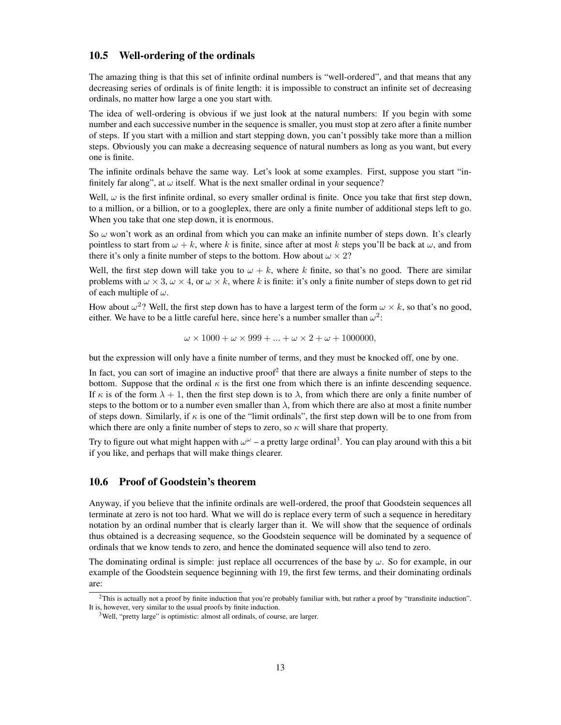#### 10.5 Well-ordering of the ordinals

The amazing thing is that this set of infinite ordinal numbers is "well-ordered", and that means that any decreasing series of ordinals is of finite length: it is impossible to construct an infinite set of decreasing ordinals, no matter how large a one you start with.

The idea of well-ordering is obvious if we just look at the natural numbers: If you begin with some number and each successive number in the sequence is smaller, you must stop at zero after a finite number of steps. If you start with a million and start stepping down, you can't possibly take more than a million steps. Obviously you can make a decreasing sequence of natural numbers as long as you want, but every one is finite.

The infinite ordinals behave the same way. Let's look at some examples. First, suppose you start "infinitely far along", at  $\omega$  itself. What is the next smaller ordinal in your sequence?

Well,  $\omega$  is the first infinite ordinal, so every smaller ordinal is finite. Once you take that first step down, to a million, or a billion, or to a googleplex, there are only a finite number of additional steps left to go. When you take that one step down, it is enormous.

So *ω* won't work as an ordinal from which you can make an infinite number of steps down. It's clearly pointless to start from  $\omega + k$ , where k is finite, since after at most k steps you'll be back at  $\omega$ , and from there it's only a finite number of steps to the bottom. How about  $\omega \times 2$ ?

Well, the first step down will take you to  $\omega + k$ , where k finite, so that's no good. There are similar problems with  $\omega \times 3$ ,  $\omega \times 4$ , or  $\omega \times k$ , where k is finite: it's only a finite number of steps down to get rid of each multiple of *ω*.

How about  $\omega^2$ ? Well, the first step down has to have a largest term of the form  $\omega \times k$ , so that's no good, either. We have to be a little careful here, since here's a number smaller than  $\omega^2$ :

$$
\omega \times 1000 + \omega \times 999 + \ldots + \omega \times 2 + \omega + 1000000,
$$

but the expression will only have a finite number of terms, and they must be knocked off, one by one.

In fact, you can sort of imagine an inductive proof<sup>2</sup> that there are always a finite number of steps to the bottom. Suppose that the ordinal  $\kappa$  is the first one from which there is an infinite descending sequence. If  $\kappa$  is of the form  $\lambda + 1$ , then the first step down is to  $\lambda$ , from which there are only a finite number of steps to the bottom or to a number even smaller than  $\lambda$ , from which there are also at most a finite number of steps down. Similarly, if *κ* is one of the "limit ordinals", the first step down will be to one from from which there are only a finite number of steps to zero, so *κ* will share that property.

Try to figure out what might happen with  $\omega^{\omega}$  – a pretty large ordinal<sup>3</sup>. You can play around with this a bit if you like, and perhaps that will make things clearer.

#### 10.6 Proof of Goodstein's theorem

Anyway, if you believe that the infinite ordinals are well-ordered, the proof that Goodstein sequences all terminate at zero is not too hard. What we will do is replace every term of such a sequence in hereditary notation by an ordinal number that is clearly larger than it. We will show that the sequence of ordinals thus obtained is a decreasing sequence, so the Goodstein sequence will be dominated by a sequence of ordinals that we know tends to zero, and hence the dominated sequence will also tend to zero.

The dominating ordinal is simple: just replace all occurrences of the base by *ω*. So for example, in our example of the Goodstein sequence beginning with 19, the first few terms, and their dominating ordinals are:

 $2$ This is actually not a proof by finite induction that you're probably familiar with, but rather a proof by "transfinite induction". It is, however, very similar to the usual proofs by finite induction.

<sup>&</sup>lt;sup>3</sup>Well, "pretty large" is optimistic: almost all ordinals, of course, are larger.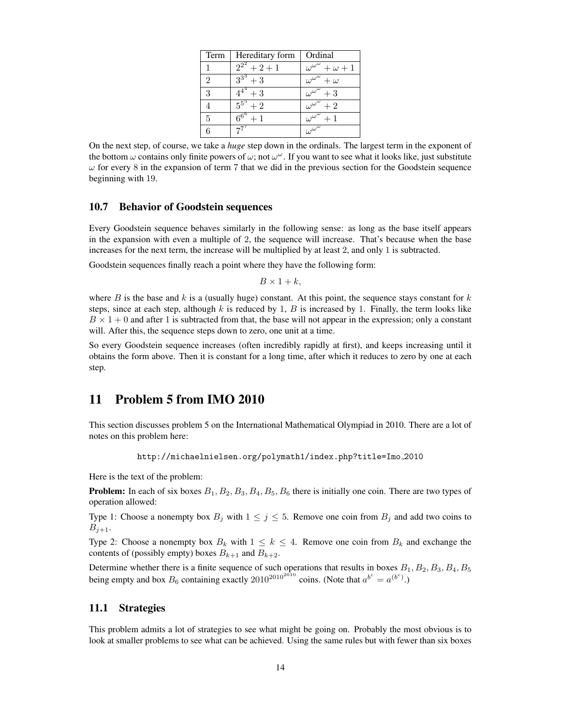| Term           | Hereditary form         | Ordinal                                        |
|----------------|-------------------------|------------------------------------------------|
| 1              | $2^{2^2}+2+1$           | $\overline{\omega^{\omega}}^{\omega}+\omega+1$ |
| $\overline{2}$ | $3^{3^3}+3$             | $\overline{\omega^{\omega^{\omega}}} + \omega$ |
| 3              | $\frac{4^{4}}{4^{4}}+3$ | $\overline{\omega^{\omega^{\omega}}}+3$        |
| 4              | $5^{5^5}+2$             | $\overline{\omega^{\omega^{\omega}}+2}$        |
| 5              | $\overline{6^{6}} + 1$  | $\overline{\omega^{\omega^{\omega}}+1}$        |
| 6              | $7^7$                   | $\frac{c}{\omega^{\omega^{\omega}}}$           |

On the next step, of course, we take a *huge* step down in the ordinals. The largest term in the exponent of the bottom *ω* contains only finite powers of *ω*; not *ω <sup>ω</sup>*. If you want to see what it looks like, just substitute  $\omega$  for every 8 in the expansion of term 7 that we did in the previous section for the Goodstein sequence beginning with 19.

#### 10.7 Behavior of Goodstein sequences

Every Goodstein sequence behaves similarly in the following sense: as long as the base itself appears in the expansion with even a multiple of 2, the sequence will increase. That's because when the base increases for the next term, the increase will be multiplied by at least 2, and only 1 is subtracted.

Goodstein sequences finally reach a point where they have the following form:

 $B \times 1 + k$ ,

where *B* is the base and  $k$  is a (usually huge) constant. At this point, the sequence stays constant for  $k$ steps, since at each step, although  $k$  is reduced by 1,  $B$  is increased by 1. Finally, the term looks like  $B \times 1 + 0$  and after 1 is subtracted from that, the base will not appear in the expression; only a constant will. After this, the sequence steps down to zero, one unit at a time.

So every Goodstein sequence increases (often incredibly rapidly at first), and keeps increasing until it obtains the form above. Then it is constant for a long time, after which it reduces to zero by one at each step.

### 11 Problem 5 from IMO 2010

This section discusses problem 5 on the International Mathematical Olympiad in 2010. There are a lot of notes on this problem here:

http://michaelnielsen.org/polymath1/index.php?title=Imo 2010

Here is the text of the problem:

Problem: In each of six boxes *B*1*, B*2*, B*3*, B*4*, B*5*, B*<sup>6</sup> there is initially one coin. There are two types of operation allowed:

Type 1: Choose a nonempty box  $B_j$  with  $1 \leq j \leq 5$ . Remove one coin from  $B_j$  and add two coins to  $B_{j+1}$ .

Type 2: Choose a nonempty box  $B_k$  with  $1 \leq k \leq 4$ . Remove one coin from  $B_k$  and exchange the contents of (possibly empty) boxes  $B_{k+1}$  and  $B_{k+2}$ .

Determine whether there is a finite sequence of such operations that results in boxes *B*1*, B*2*, B*3*, B*4*, B*<sup>5</sup> being empty and box  $B_6$  containing exactly  $2010^{2010^{2010}}$  coins. (Note that  $a^{b^c} = a^{(b^c)}$ .)

#### 11.1 Strategies

This problem admits a lot of strategies to see what might be going on. Probably the most obvious is to look at smaller problems to see what can be achieved. Using the same rules but with fewer than six boxes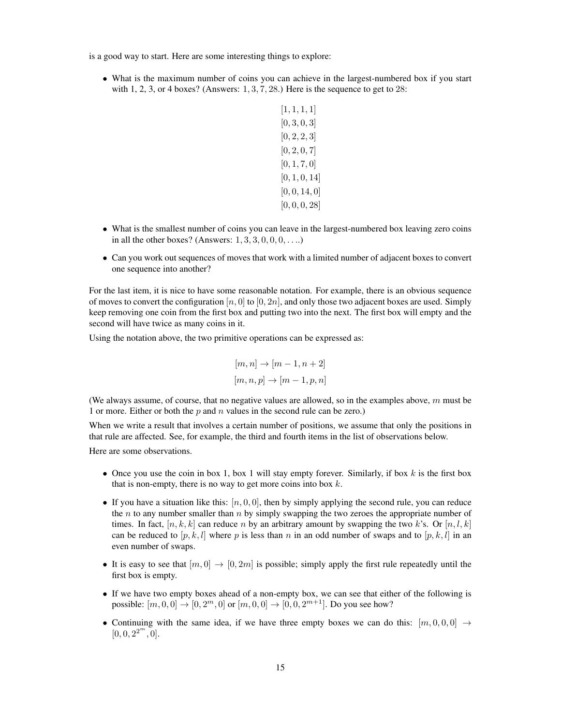is a good way to start. Here are some interesting things to explore:

• What is the maximum number of coins you can achieve in the largest-numbered box if you start with 1, 2, 3, or 4 boxes? (Answers: 1*,* 3*,* 7*,* 28.) Here is the sequence to get to 28:

| [1,1,1,1]     |
|---------------|
| [0, 3, 0, 3]  |
| [0, 2, 2, 3]  |
| [0, 2, 0, 7]  |
| [0, 1, 7, 0]  |
| [0, 1, 0, 14] |
| [0, 0, 14, 0] |
| [0, 0, 0, 28] |

- What is the smallest number of coins you can leave in the largest-numbered box leaving zero coins in all the other boxes? (Answers: 1*,* 3*,* 3*,* 0*,* 0*,* 0*, . . .*.)
- Can you work out sequences of moves that work with a limited number of adjacent boxes to convert one sequence into another?

For the last item, it is nice to have some reasonable notation. For example, there is an obvious sequence of moves to convert the configuration  $[n, 0]$  to  $[0, 2n]$ , and only those two adjacent boxes are used. Simply keep removing one coin from the first box and putting two into the next. The first box will empty and the second will have twice as many coins in it.

Using the notation above, the two primitive operations can be expressed as:

$$
[m,n]\rightarrow [m-1,n+2]
$$
  

$$
[m,n,p]\rightarrow [m-1,p,n]
$$

(We always assume, of course, that no negative values are allowed, so in the examples above, *m* must be 1 or more. Either or both the *p* and *n* values in the second rule can be zero.)

When we write a result that involves a certain number of positions, we assume that only the positions in that rule are affected. See, for example, the third and fourth items in the list of observations below.

Here are some observations.

- Once you use the coin in box 1, box 1 will stay empty forever. Similarly, if box *k* is the first box that is non-empty, there is no way to get more coins into box *k*.
- If you have a situation like this:  $[n, 0, 0]$ , then by simply applying the second rule, you can reduce the *n* to any number smaller than *n* by simply swapping the two zeroes the appropriate number of times. In fact,  $[n, k, k]$  can reduce *n* by an arbitrary amount by swapping the two *k*'s. Or  $[n, l, k]$ can be reduced to  $[p, k, l]$  where p is less than n in an odd number of swaps and to  $[p, k, l]$  in an even number of swaps.
- It is easy to see that  $[m, 0] \rightarrow [0, 2m]$  is possible; simply apply the first rule repeatedly until the first box is empty.
- If we have two empty boxes ahead of a non-empty box, we can see that either of the following is possible:  $[m, 0, 0] \to [0, 2^m, 0]$  or  $[m, 0, 0] \to [0, 0, 2^{m+1}]$ . Do you see how?
- Continuing with the same idea, if we have three empty boxes we can do this:  $[m, 0, 0, 0] \rightarrow$  $[0, 0, 2^{2^m}, 0].$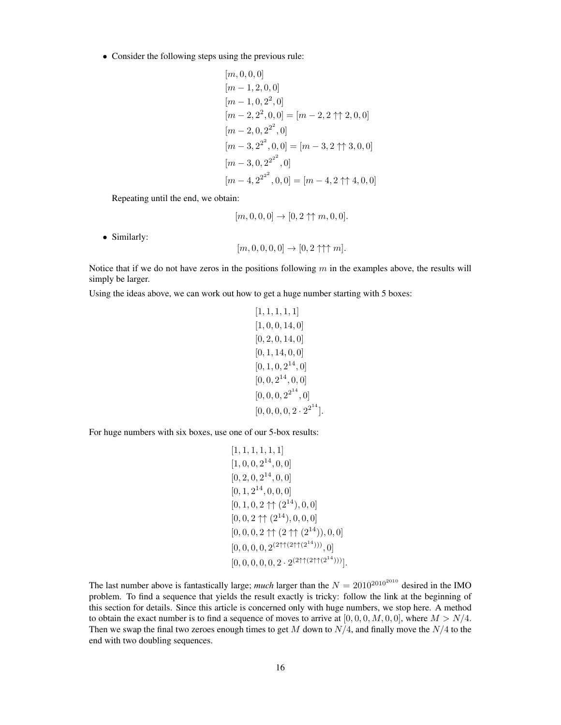*•* Consider the following steps using the previous rule:

$$
[m, 0, 0, 0]
$$
  
\n
$$
[m - 1, 2, 0, 0]
$$
  
\n
$$
[m - 1, 0, 2^2, 0]
$$
  
\n
$$
[m - 2, 2^2, 0, 0] = [m - 2, 2 \uparrow \uparrow 2, 0, 0]
$$
  
\n
$$
[m - 2, 0, 2^{2^2}, 0]
$$
  
\n
$$
[m - 3, 2^{2^2}, 0, 0] = [m - 3, 2 \uparrow \uparrow 3, 0, 0]
$$
  
\n
$$
[m - 4, 2^{2^{2^2}}, 0, 0] = [m - 4, 2 \uparrow \uparrow 4, 0, 0]
$$

Repeating until the end, we obtain:

$$
[m, 0, 0, 0] \to [0, 2 \uparrow \uparrow m, 0, 0].
$$

*•* Similarly:

$$
[m, 0, 0, 0, 0] \rightarrow [0, 2 \uparrow \uparrow \uparrow m].
$$

Notice that if we do not have zeros in the positions following *m* in the examples above, the results will simply be larger.

Using the ideas above, we can work out how to get a huge number starting with 5 boxes:

$$
[1, 1, 1, 1, 1]
$$
\n
$$
[1, 0, 0, 14, 0]
$$
\n
$$
[0, 2, 0, 14, 0]
$$
\n
$$
[0, 1, 14, 0, 0]
$$
\n
$$
[0, 1, 0, 2^{14}, 0]
$$
\n
$$
[0, 0, 2^{14}, 0, 0]
$$
\n
$$
[0, 0, 0, 2^{2^{14}}, 0]
$$
\n
$$
[0, 0, 0, 0, 2 \cdot 2^{2^{14}}].
$$

For huge numbers with six boxes, use one of our 5-box results:

$$
[1, 1, 1, 1, 1, 1]
$$
\n
$$
[1, 0, 0, 2^{14}, 0, 0]
$$
\n
$$
[0, 2, 0, 2^{14}, 0, 0]
$$
\n
$$
[0, 1, 2^{14}, 0, 0, 0]
$$
\n
$$
[0, 1, 0, 2 \uparrow \uparrow (2^{14}), 0, 0]
$$
\n
$$
[0, 0, 2 \uparrow \uparrow (2^{14}), 0, 0, 0]
$$
\n
$$
[0, 0, 0, 2 \uparrow \uparrow (2^{14}), 0, 0, 0]
$$
\n
$$
[0, 0, 0, 0, 2^{(2 \uparrow \uparrow (2^{14})))}, 0]
$$
\n
$$
[0, 0, 0, 0, 0, 2 \cdot 2^{(2 \uparrow \uparrow (2^{14})))}].
$$

The last number above is fantastically large; *much* larger than the  $N = 2010^{2010^{2010}}$  desired in the IMO problem. To find a sequence that yields the result exactly is tricky: follow the link at the beginning of this section for details. Since this article is concerned only with huge numbers, we stop here. A method to obtain the exact number is to find a sequence of moves to arrive at  $[0, 0, 0, M, 0, 0]$ , where  $M > N/4$ . Then we swap the final two zeroes enough times to get *M* down to *N/*4, and finally move the *N/*4 to the end with two doubling sequences.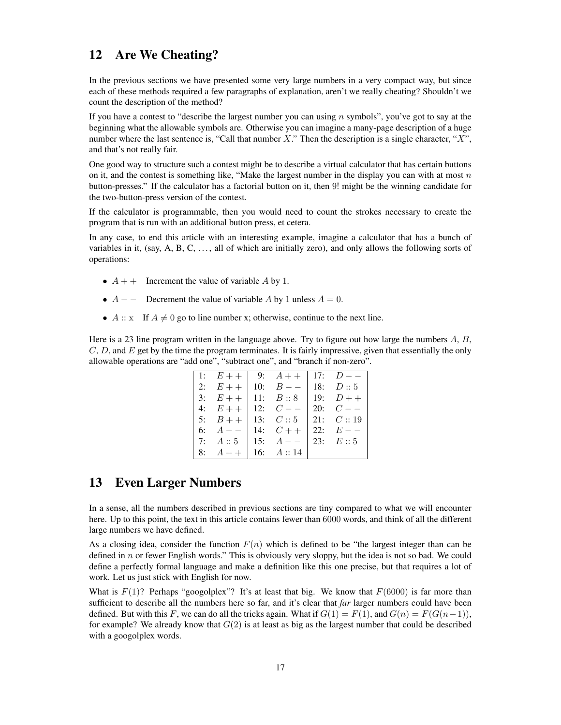### 12 Are We Cheating?

In the previous sections we have presented some very large numbers in a very compact way, but since each of these methods required a few paragraphs of explanation, aren't we really cheating? Shouldn't we count the description of the method?

If you have a contest to "describe the largest number you can using *n* symbols", you've got to say at the beginning what the allowable symbols are. Otherwise you can imagine a many-page description of a huge number where the last sentence is, "Call that number *X*." Then the description is a single character, "*X*", and that's not really fair.

One good way to structure such a contest might be to describe a virtual calculator that has certain buttons on it, and the contest is something like, "Make the largest number in the display you can with at most *n* button-presses." If the calculator has a factorial button on it, then 9! might be the winning candidate for the two-button-press version of the contest.

If the calculator is programmable, then you would need to count the strokes necessary to create the program that is run with an additional button press, et cetera.

In any case, to end this article with an interesting example, imagine a calculator that has a bunch of variables in it, (say, A, B, C,  $\dots$ , all of which are initially zero), and only allows the following sorts of operations:

- $A + +$  Increment the value of variable *A* by 1.
- *• A − −* Decrement the value of variable *A* by 1 unless *A* = 0.
- $A :: x$  If  $A \neq 0$  go to line number x; otherwise, continue to the next line.

Here is a 23 line program written in the language above. Try to figure out how large the numbers *A*, *B*, *C*, *D*, and *E* get by the time the program terminates. It is fairly impressive, given that essentially the only allowable operations are "add one", "subtract one", and "branch if non-zero".

|                      | 1: $E++$ 9: $A++$ 17: $D--$             |  |
|----------------------|-----------------------------------------|--|
|                      | 2: $E++$ 10: $B--$ 18: $D::5$           |  |
|                      | 3: $E++$   11: $B::8$   19: $D++$       |  |
|                      | 4: $E++$ 12: $C--$ 20: $C--$            |  |
|                      | 5: $B++$ 13: $C::5$ 21: $C::19$         |  |
|                      | 6: $A = -   14; C +   22; E = -$        |  |
|                      | 7: $A :: 5$   15: $A --$   23: $E :: 5$ |  |
| 8: $A++$ 16: $A::14$ |                                         |  |

### 13 Even Larger Numbers

In a sense, all the numbers described in previous sections are tiny compared to what we will encounter here. Up to this point, the text in this article contains fewer than 6000 words, and think of all the different large numbers we have defined.

As a closing idea, consider the function  $F(n)$  which is defined to be "the largest integer than can be defined in *n* or fewer English words." This is obviously very sloppy, but the idea is not so bad. We could define a perfectly formal language and make a definition like this one precise, but that requires a lot of work. Let us just stick with English for now.

What is  $F(1)$ ? Perhaps "googolplex"? It's at least that big. We know that  $F(6000)$  is far more than sufficient to describe all the numbers here so far, and it's clear that *far* larger numbers could have been defined. But with this *F*, we can do all the tricks again. What if  $G(1) = F(1)$ , and  $G(n) = F(G(n-1))$ , for example? We already know that *G*(2) is at least as big as the largest number that could be described with a googolplex words.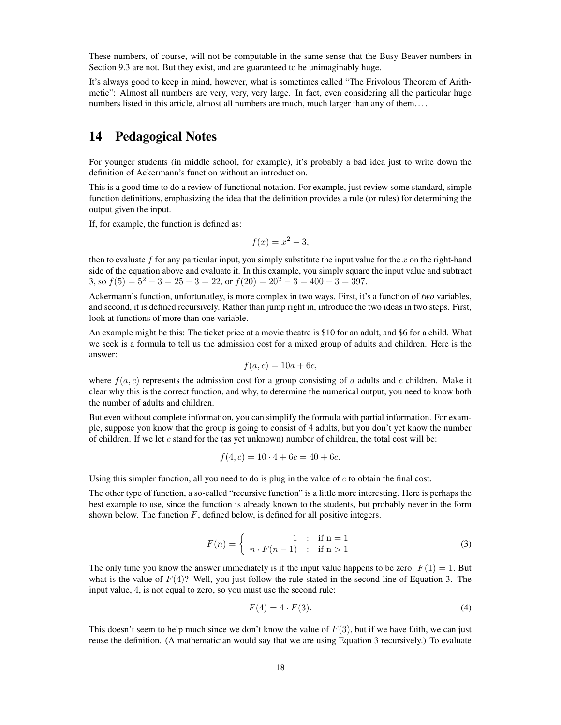These numbers, of course, will not be computable in the same sense that the Busy Beaver numbers in Section 9.3 are not. But they exist, and are guaranteed to be unimaginably huge.

It's always good to keep in mind, however, what is sometimes called "The Frivolous Theorem of Arithmetic": Almost all numbers are very, very, very large. In fact, even considering all the particular huge numbers listed in this article, almost all numbers are much, much larger than any of them....

### 14 Pedagogical Notes

For younger students (in middle school, for example), it's probably a bad idea just to write down the definition of Ackermann's function without an introduction.

This is a good time to do a review of functional notation. For example, just review some standard, simple function definitions, emphasizing the idea that the definition provides a rule (or rules) for determining the output given the input.

If, for example, the function is defined as:

$$
f(x) = x^2 - 3,
$$

then to evaluate *f* for any particular input, you simply substitute the input value for the *x* on the right-hand side of the equation above and evaluate it. In this example, you simply square the input value and subtract 3, so  $f(5) = 5^2 - 3 = 25 - 3 = 22$ , or  $f(20) = 20^2 - 3 = 400 - 3 = 397$ .

Ackermann's function, unfortunatley, is more complex in two ways. First, it's a function of *two* variables, and second, it is defined recursively. Rather than jump right in, introduce the two ideas in two steps. First, look at functions of more than one variable.

An example might be this: The ticket price at a movie theatre is \$10 for an adult, and \$6 for a child. What we seek is a formula to tell us the admission cost for a mixed group of adults and children. Here is the answer:

$$
f(a,c) = 10a + 6c,
$$

where  $f(a, c)$  represents the admission cost for a group consisting of *a* adults and *c* children. Make it clear why this is the correct function, and why, to determine the numerical output, you need to know both the number of adults and children.

But even without complete information, you can simplify the formula with partial information. For example, suppose you know that the group is going to consist of 4 adults, but you don't yet know the number of children. If we let *c* stand for the (as yet unknown) number of children, the total cost will be:

$$
f(4, c) = 10 \cdot 4 + 6c = 40 + 6c.
$$

Using this simpler function, all you need to do is plug in the value of *c* to obtain the final cost.

The other type of function, a so-called "recursive function" is a little more interesting. Here is perhaps the best example to use, since the function is already known to the students, but probably never in the form shown below. The function *F*, defined below, is defined for all positive integers.

$$
F(n) = \begin{cases} 1 & \text{if } n = 1 \\ n \cdot F(n-1) & \text{if } n > 1 \end{cases}
$$
 (3)

The only time you know the answer immediately is if the input value happens to be zero:  $F(1) = 1$ . But what is the value of  $F(4)$ ? Well, you just follow the rule stated in the second line of Equation 3. The input value, 4, is not equal to zero, so you must use the second rule:

$$
F(4) = 4 \cdot F(3). \tag{4}
$$

This doesn't seem to help much since we don't know the value of  $F(3)$ , but if we have faith, we can just reuse the definition. (A mathematician would say that we are using Equation 3 recursively.) To evaluate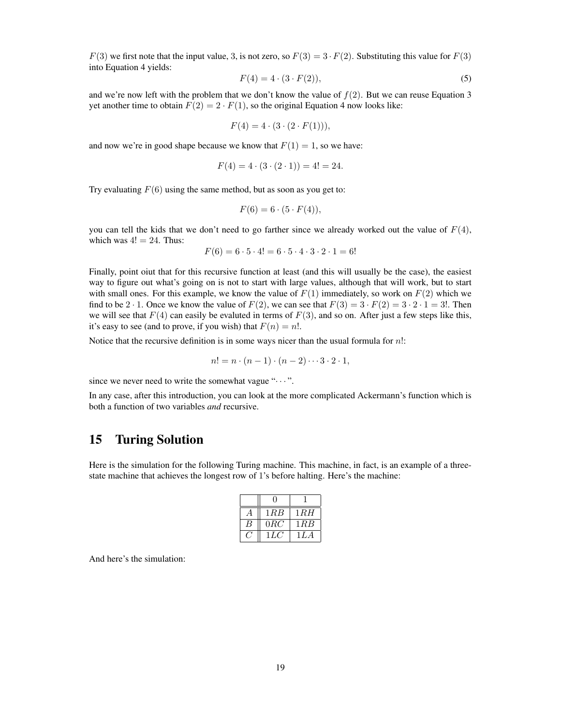$F(3)$  we first note that the input value, 3, is not zero, so  $F(3) = 3 \cdot F(2)$ . Substituting this value for  $F(3)$ into Equation 4 yields:

$$
F(4) = 4 \cdot (3 \cdot F(2)), \tag{5}
$$

and we're now left with the problem that we don't know the value of  $f(2)$ . But we can reuse Equation 3 yet another time to obtain  $F(2) = 2 \cdot F(1)$ , so the original Equation 4 now looks like:

$$
F(4) = 4 \cdot (3 \cdot (2 \cdot F(1))),
$$

and now we're in good shape because we know that  $F(1) = 1$ , so we have:

$$
F(4) = 4 \cdot (3 \cdot (2 \cdot 1)) = 4! = 24.
$$

Try evaluating *F*(6) using the same method, but as soon as you get to:

$$
F(6) = 6 \cdot (5 \cdot F(4)),
$$

you can tell the kids that we don't need to go farther since we already worked out the value of  $F(4)$ , which was  $4! = 24$ . Thus:

$$
F(6) = 6 \cdot 5 \cdot 4! = 6 \cdot 5 \cdot 4 \cdot 3 \cdot 2 \cdot 1 = 6!
$$

Finally, point oiut that for this recursive function at least (and this will usually be the case), the easiest way to figure out what's going on is not to start with large values, although that will work, but to start with small ones. For this example, we know the value of  $F(1)$  immediately, so work on  $F(2)$  which we find to be 2  $\cdot$  1. Once we know the value of  $F(2)$ , we can see that  $F(3) = 3 \cdot F(2) = 3 \cdot 2 \cdot 1 = 3!$ . Then we will see that  $F(4)$  can easily be evaluted in terms of  $F(3)$ , and so on. After just a few steps like this, it's easy to see (and to prove, if you wish) that  $F(n) = n!$ .

Notice that the recursive definition is in some ways nicer than the usual formula for *n*!:

$$
n! = n \cdot (n-1) \cdot (n-2) \cdots 3 \cdot 2 \cdot 1,
$$

since we never need to write the somewhat vague " $\cdots$ ".

In any case, after this introduction, you can look at the more complicated Ackermann's function which is both a function of two variables *and* recursive.

### 15 Turing Solution

Here is the simulation for the following Turing machine. This machine, in fact, is an example of a threestate machine that achieves the longest row of 1's before halting. Here's the machine:

| 1RB   | 1 R.H |  |  |  |
|-------|-------|--|--|--|
| 0RC   | 1RB   |  |  |  |
| 1 L.C | 1 L A |  |  |  |

And here's the simulation: